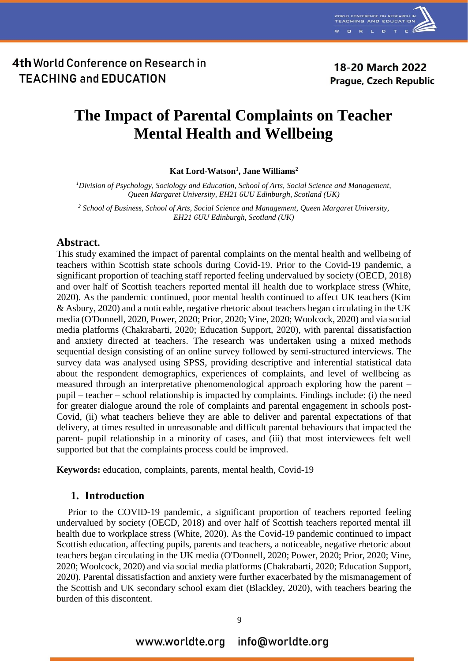

# **The Impact of Parental Complaints on Teacher Mental Health and Wellbeing**

**Kat Lord-Watson<sup>1</sup> , Jane Williams<sup>2</sup>**

*<sup>1</sup>Division of Psychology, Sociology and Education, School of Arts, Social Science and Management, Queen Margaret University, EH21 6UU Edinburgh, Scotland (UK)*

*<sup>2</sup> School of Business, School of Arts, Social Science and Management, Queen Margaret University, EH21 6UU Edinburgh, Scotland (UK)*

### **Abstract.**

This study examined the impact of parental complaints on the mental health and wellbeing of teachers within Scottish state schools during Covid-19. Prior to the Covid-19 pandemic, a significant proportion of teaching staff reported feeling undervalued by society (OECD, 2018) and over half of Scottish teachers reported mental ill health due to workplace stress (White, 2020). As the pandemic continued, poor mental health continued to affect UK teachers (Kim & Asbury, 2020) and a noticeable, negative rhetoric about teachers began circulating in the UK media (O'Donnell, 2020, Power, 2020; Prior, 2020; Vine, 2020; Woolcock, 2020) and via social media platforms (Chakrabarti, 2020; Education Support, 2020), with parental dissatisfaction and anxiety directed at teachers. The research was undertaken using a mixed methods sequential design consisting of an online survey followed by semi-structured interviews. The survey data was analysed using SPSS, providing descriptive and inferential statistical data about the respondent demographics, experiences of complaints, and level of wellbeing as measured through an interpretative phenomenological approach exploring how the parent – pupil – teacher – school relationship is impacted by complaints. Findings include: (i) the need for greater dialogue around the role of complaints and parental engagement in schools post-Covid, (ii) what teachers believe they are able to deliver and parental expectations of that delivery, at times resulted in unreasonable and difficult parental behaviours that impacted the parent- pupil relationship in a minority of cases, and (iii) that most interviewees felt well supported but that the complaints process could be improved.

**Keywords:** education, complaints, parents, mental health, Covid-19

### **1. Introduction**

Prior to the COVID-19 pandemic, a significant proportion of teachers reported feeling undervalued by society (OECD, 2018) and over half of Scottish teachers reported mental ill health due to workplace stress (White, 2020). As the Covid-19 pandemic continued to impact Scottish education, affecting pupils, parents and teachers, a noticeable, negative rhetoric about teachers began circulating in the UK media (O'Donnell, 2020; Power, 2020; Prior, 2020; Vine, 2020; Woolcock, 2020) and via social media platforms (Chakrabarti, 2020; Education Support, 2020). Parental dissatisfaction and anxiety were further exacerbated by the mismanagement of the Scottish and UK secondary school exam diet (Blackley, 2020), with teachers bearing the burden of this discontent.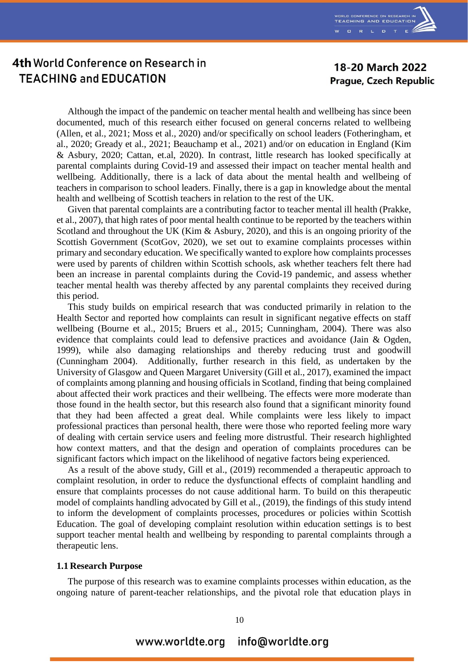

### 18-20 March 2022 **Prague, Czech Republic**

Although the impact of the pandemic on teacher mental health and wellbeing has since been documented, much of this research either focused on general concerns related to wellbeing (Allen, et al., 2021; Moss et al., 2020) and/or specifically on school leaders (Fotheringham, et al., 2020; Gready et al., 2021; Beauchamp et al., 2021) and/or on education in England (Kim & Asbury, 2020; Cattan, et.al, 2020). In contrast, little research has looked specifically at parental complaints during Covid-19 and assessed their impact on teacher mental health and wellbeing. Additionally, there is a lack of data about the mental health and wellbeing of teachers in comparison to school leaders. Finally, there is a gap in knowledge about the mental health and wellbeing of Scottish teachers in relation to the rest of the UK.

Given that parental complaints are a contributing factor to teacher mental ill health (Prakke, et al., 2007), that high rates of poor mental health continue to be reported by the teachers within Scotland and throughout the UK (Kim & Asbury, 2020), and this is an ongoing priority of the Scottish Government (ScotGov, 2020), we set out to examine complaints processes within primary and secondary education. We specifically wanted to explore how complaints processes were used by parents of children within Scottish schools, ask whether teachers felt there had been an increase in parental complaints during the Covid-19 pandemic, and assess whether teacher mental health was thereby affected by any parental complaints they received during this period.

This study builds on empirical research that was conducted primarily in relation to the Health Sector and reported how complaints can result in significant negative effects on staff wellbeing (Bourne et al., 2015; Bruers et al., 2015; Cunningham, 2004). There was also evidence that complaints could lead to defensive practices and avoidance (Jain & Ogden, 1999), while also damaging relationships and thereby reducing trust and goodwill (Cunningham 2004). Additionally, further research in this field, as undertaken by the University of Glasgow and Queen Margaret University (Gill et al., 2017), examined the impact of complaints among planning and housing officials in Scotland, finding that being complained about affected their work practices and their wellbeing. The effects were more moderate than those found in the health sector, but this research also found that a significant minority found that they had been affected a great deal. While complaints were less likely to impact professional practices than personal health, there were those who reported feeling more wary of dealing with certain service users and feeling more distrustful. Their research highlighted how context matters, and that the design and operation of complaints procedures can be significant factors which impact on the likelihood of negative factors being experienced.

As a result of the above study, Gill et al., (2019) recommended a therapeutic approach to complaint resolution, in order to reduce the dysfunctional effects of complaint handling and ensure that complaints processes do not cause additional harm. To build on this therapeutic model of complaints handling advocated by Gill et al., (2019), the findings of this study intend to inform the development of complaints processes, procedures or policies within Scottish Education. The goal of developing complaint resolution within education settings is to best support teacher mental health and wellbeing by responding to parental complaints through a therapeutic lens.

#### **1.1 Research Purpose**

The purpose of this research was to examine complaints processes within education, as the ongoing nature of parent-teacher relationships, and the pivotal role that education plays in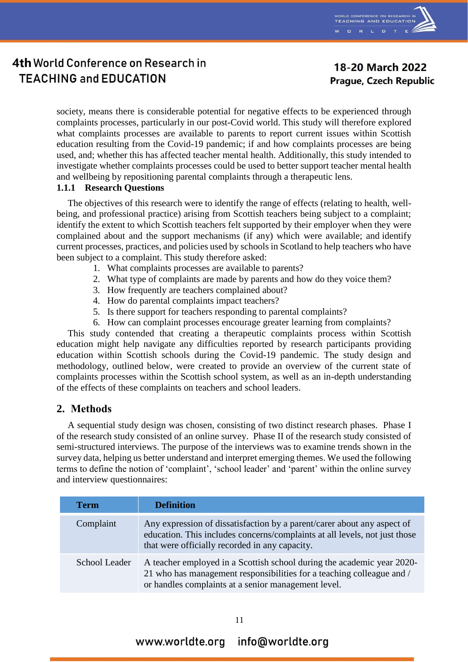

18-20 March 2022 **Prague, Czech Republic** 

society, means there is considerable potential for negative effects to be experienced through complaints processes, particularly in our post-Covid world. This study will therefore explored what complaints processes are available to parents to report current issues within Scottish education resulting from the Covid-19 pandemic; if and how complaints processes are being used, and; whether this has affected teacher mental health. Additionally, this study intended to investigate whether complaints processes could be used to better support teacher mental health and wellbeing by repositioning parental complaints through a therapeutic lens.

### **1.1.1 Research Questions**

The objectives of this research were to identify the range of effects (relating to health, wellbeing, and professional practice) arising from Scottish teachers being subject to a complaint; identify the extent to which Scottish teachers felt supported by their employer when they were complained about and the support mechanisms (if any) which were available; and identify current processes, practices, and policies used by schools in Scotland to help teachers who have been subject to a complaint. This study therefore asked:

- 1. What complaints processes are available to parents?
- 2. What type of complaints are made by parents and how do they voice them?
- 3. How frequently are teachers complained about?
- 4. How do parental complaints impact teachers?
- 5. Is there support for teachers responding to parental complaints?
- 6. How can complaint processes encourage greater learning from complaints?

This study contended that creating a therapeutic complaints process within Scottish education might help navigate any difficulties reported by research participants providing education within Scottish schools during the Covid-19 pandemic. The study design and methodology, outlined below, were created to provide an overview of the current state of complaints processes within the Scottish school system, as well as an in-depth understanding of the effects of these complaints on teachers and school leaders.

### **2. Methods**

A sequential study design was chosen, consisting of two distinct research phases. Phase I of the research study consisted of an online survey. Phase II of the research study consisted of semi-structured interviews. The purpose of the interviews was to examine trends shown in the survey data, helping us better understand and interpret emerging themes. We used the following terms to define the notion of 'complaint', 'school leader' and 'parent' within the online survey and interview questionnaires:

| <b>Term</b>   | <b>Definition</b>                                                                                                                                                                                       |
|---------------|---------------------------------------------------------------------------------------------------------------------------------------------------------------------------------------------------------|
| Complaint     | Any expression of dissatisfaction by a parent/carer about any aspect of<br>education. This includes concerns/complaints at all levels, not just those<br>that were officially recorded in any capacity. |
| School Leader | A teacher employed in a Scottish school during the academic year 2020-<br>21 who has management responsibilities for a teaching colleague and /<br>or handles complaints at a senior management level.  |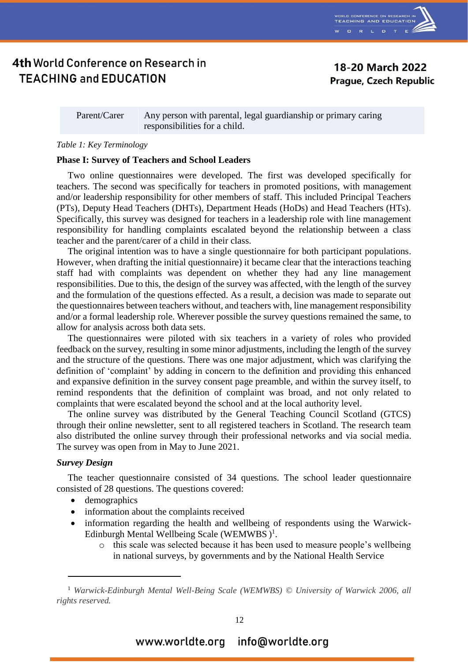

18-20 March 2022 **Prague, Czech Republic** 

Parent/Carer Any person with parental, legal guardianship or primary caring responsibilities for a child.

#### *Table 1: Key Terminology*

#### **Phase I: Survey of Teachers and School Leaders**

Two online questionnaires were developed. The first was developed specifically for teachers. The second was specifically for teachers in promoted positions, with management and/or leadership responsibility for other members of staff. This included Principal Teachers (PTs), Deputy Head Teachers (DHTs), Department Heads (HoDs) and Head Teachers (HTs). Specifically, this survey was designed for teachers in a leadership role with line management responsibility for handling complaints escalated beyond the relationship between a class teacher and the parent/carer of a child in their class.

The original intention was to have a single questionnaire for both participant populations. However, when drafting the initial questionnaire) it became clear that the interactions teaching staff had with complaints was dependent on whether they had any line management responsibilities. Due to this, the design of the survey was affected, with the length of the survey and the formulation of the questions effected. As a result, a decision was made to separate out the questionnaires between teachers without, and teachers with, line management responsibility and/or a formal leadership role. Wherever possible the survey questions remained the same, to allow for analysis across both data sets.

The questionnaires were piloted with six teachers in a variety of roles who provided feedback on the survey, resulting in some minor adjustments, including the length of the survey and the structure of the questions. There was one major adjustment, which was clarifying the definition of 'complaint' by adding in concern to the definition and providing this enhanced and expansive definition in the survey consent page preamble, and within the survey itself, to remind respondents that the definition of complaint was broad, and not only related to complaints that were escalated beyond the school and at the local authority level.

The online survey was distributed by the General Teaching Council Scotland (GTCS) through their online newsletter, sent to all registered teachers in Scotland. The research team also distributed the online survey through their professional networks and via social media. The survey was open from in May to June 2021.

#### *Survey Design*

 $\overline{a}$ 

The teacher questionnaire consisted of 34 questions. The school leader questionnaire consisted of 28 questions. The questions covered:

- demographics
- information about the complaints received
- information regarding the health and wellbeing of respondents using the Warwick-Edinburgh Mental Wellbeing Scale (WEMWBS)<sup>1</sup>.
	- o this scale was selected because it has been used to measure people's wellbeing in national surveys, by governments and by the National Health Service

<sup>1</sup> *Warwick-Edinburgh Mental Well-Being Scale (WEMWBS) © University of Warwick 2006, all rights reserved.*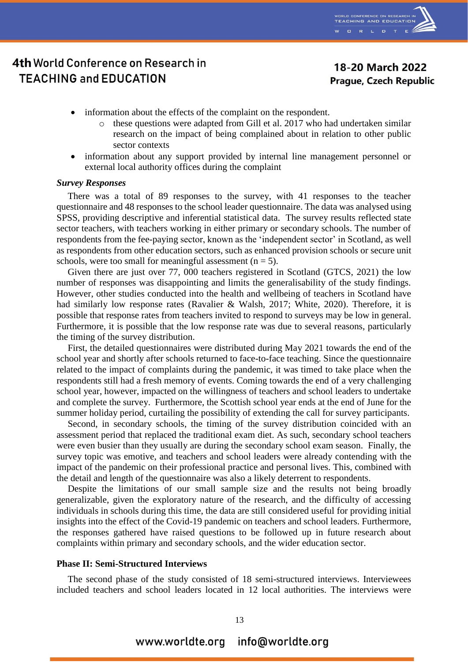

### 18-20 March 2022 **Prague, Czech Republic**

- information about the effects of the complaint on the respondent.
	- o these questions were adapted from Gill et al. 2017 who had undertaken similar research on the impact of being complained about in relation to other public sector contexts
- information about any support provided by internal line management personnel or external local authority offices during the complaint

#### *Survey Responses*

There was a total of 89 responses to the survey, with 41 responses to the teacher questionnaire and 48 responses to the school leader questionnaire. The data was analysed using SPSS, providing descriptive and inferential statistical data. The survey results reflected state sector teachers, with teachers working in either primary or secondary schools. The number of respondents from the fee-paying sector, known as the 'independent sector' in Scotland, as well as respondents from other education sectors, such as enhanced provision schools or secure unit schools, were too small for meaningful assessment  $(n = 5)$ .

Given there are just over 77, 000 teachers registered in Scotland (GTCS, 2021) the low number of responses was disappointing and limits the generalisability of the study findings. However, other studies conducted into the health and wellbeing of teachers in Scotland have had similarly low response rates (Ravalier & Walsh, 2017; White, 2020). Therefore, it is possible that response rates from teachers invited to respond to surveys may be low in general. Furthermore, it is possible that the low response rate was due to several reasons, particularly the timing of the survey distribution.

First, the detailed questionnaires were distributed during May 2021 towards the end of the school year and shortly after schools returned to face-to-face teaching. Since the questionnaire related to the impact of complaints during the pandemic, it was timed to take place when the respondents still had a fresh memory of events. Coming towards the end of a very challenging school year, however, impacted on the willingness of teachers and school leaders to undertake and complete the survey. Furthermore, the Scottish school year ends at the end of June for the summer holiday period, curtailing the possibility of extending the call for survey participants.

Second, in secondary schools, the timing of the survey distribution coincided with an assessment period that replaced the traditional exam diet. As such, secondary school teachers were even busier than they usually are during the secondary school exam season. Finally, the survey topic was emotive, and teachers and school leaders were already contending with the impact of the pandemic on their professional practice and personal lives. This, combined with the detail and length of the questionnaire was also a likely deterrent to respondents.

Despite the limitations of our small sample size and the results not being broadly generalizable, given the exploratory nature of the research, and the difficulty of accessing individuals in schools during this time, the data are still considered useful for providing initial insights into the effect of the Covid-19 pandemic on teachers and school leaders. Furthermore, the responses gathered have raised questions to be followed up in future research about complaints within primary and secondary schools, and the wider education sector.

#### **Phase II: Semi-Structured Interviews**

The second phase of the study consisted of 18 semi-structured interviews. Interviewees included teachers and school leaders located in 12 local authorities. The interviews were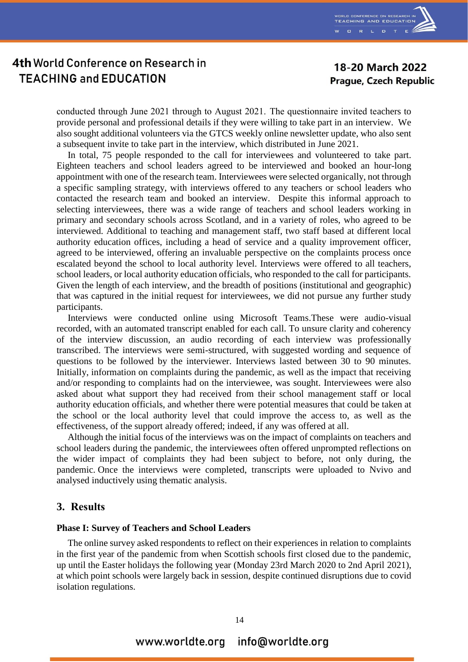

### 18-20 March 2022 **Prague, Czech Republic**

conducted through June 2021 through to August 2021.  The questionnaire invited teachers to provide personal and professional details if they were willing to take part in an interview. We also sought additional volunteers via the GTCS weekly online newsletter update, who also sent a subsequent invite to take part in the interview, which distributed in June 2021.

In total, 75 people responded to the call for interviewees and volunteered to take part. Eighteen teachers and school leaders agreed to be interviewed and booked an hour-long appointment with one of the research team. Interviewees were selected organically, not through a specific sampling strategy, with interviews offered to any teachers or school leaders who contacted the research team and booked an interview. Despite this informal approach to selecting interviewees, there was a wide range of teachers and school leaders working in primary and secondary schools across Scotland, and in a variety of roles, who agreed to be interviewed. Additional to teaching and management staff, two staff based at different local authority education offices, including a head of service and a quality improvement officer, agreed to be interviewed, offering an invaluable perspective on the complaints process once escalated beyond the school to local authority level. Interviews were offered to all teachers, school leaders, or local authority education officials, who responded to the call for participants. Given the length of each interview, and the breadth of positions (institutional and geographic) that was captured in the initial request for interviewees, we did not pursue any further study participants.

Interviews were conducted online using Microsoft Teams.These were audio-visual recorded, with an automated transcript enabled for each call. To unsure clarity and coherency of the interview discussion, an audio recording of each interview was professionally transcribed. The interviews were semi-structured, with suggested wording and sequence of questions to be followed by the interviewer. Interviews lasted between 30 to 90 minutes. Initially, information on complaints during the pandemic, as well as the impact that receiving and/or responding to complaints had on the interviewee, was sought. Interviewees were also asked about what support they had received from their school management staff or local authority education officials, and whether there were potential measures that could be taken at the school or the local authority level that could improve the access to, as well as the effectiveness, of the support already offered; indeed, if any was offered at all.

Although the initial focus of the interviews was on the impact of complaints on teachers and school leaders during the pandemic, the interviewees often offered unprompted reflections on the wider impact of complaints they had been subject to before, not only during, the pandemic. Once the interviews were completed, transcripts were uploaded to Nvivo and analysed inductively using thematic analysis.

#### **3. Results**

#### **Phase I: Survey of Teachers and School Leaders**

The online survey asked respondents to reflect on their experiences in relation to complaints in the first year of the pandemic from when Scottish schools first closed due to the pandemic, up until the Easter holidays the following year (Monday 23rd March 2020 to 2nd April 2021), at which point schools were largely back in session, despite continued disruptions due to covid isolation regulations.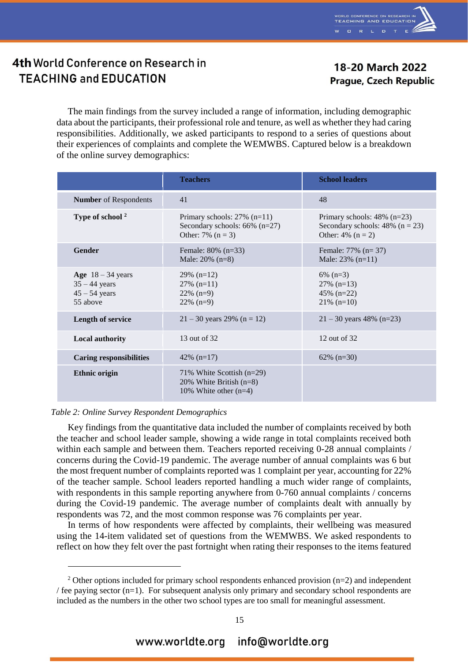

### 18-20 March 2022 **Prague, Czech Republic**

The main findings from the survey included a range of information, including demographic data about the participants, their professional role and tenure, as well as whether they had caring responsibilities. Additionally, we asked participants to respond to a series of questions about their experiences of complaints and complete the WEMWBS. Captured below is a breakdown of the online survey demographics:

|                                                                       | <b>Teachers</b>                                                                           | <b>School leaders</b>                                                                        |
|-----------------------------------------------------------------------|-------------------------------------------------------------------------------------------|----------------------------------------------------------------------------------------------|
| <b>Number</b> of Respondents                                          | 41                                                                                        | 48                                                                                           |
| Type of school <sup>2</sup>                                           | Primary schools: $27\%$ (n=11)<br>Secondary schools: $66\%$ (n=27)<br>Other: 7% $(n = 3)$ | Primary schools: $48\%$ (n=23)<br>Secondary schools: $48\%$ (n = 23)<br>Other: $4\%$ (n = 2) |
| <b>Gender</b>                                                         | Female: $80\%$ (n=33)<br>Male: $20\%$ (n=8)                                               | Female: $77\%$ (n= 37)<br>Male: $23\%$ (n=11)                                                |
| Age $18 - 34$ years<br>$35 - 44$ years<br>$45 - 54$ years<br>55 above | $29\%$ (n=12)<br>$27\%$ (n=11)<br>$22\%$ (n=9)<br>$22\%$ (n=9)                            | $6\%$ (n=3)<br>$27\%$ (n=13)<br>45% $(n=22)$<br>$21\%$ (n=10)                                |
| <b>Length of service</b>                                              | $21 - 30$ years 29% (n = 12)                                                              | $21 - 30$ years 48% (n=23)                                                                   |
| <b>Local authority</b>                                                | 13 out of 32                                                                              | 12 out of 32                                                                                 |
| <b>Caring responsibilities</b>                                        | 42\% $(n=17)$                                                                             | $62\%$ (n=30)                                                                                |
| <b>Ethnic origin</b>                                                  | 71% White Scottish (n=29)<br>20% White British $(n=8)$<br>10% White other $(n=4)$         |                                                                                              |

#### *Table 2: Online Survey Respondent Demographics*

 $\overline{a}$ 

Key findings from the quantitative data included the number of complaints received by both the teacher and school leader sample, showing a wide range in total complaints received both within each sample and between them. Teachers reported receiving 0-28 annual complaints / concerns during the Covid-19 pandemic. The average number of annual complaints was 6 but the most frequent number of complaints reported was 1 complaint per year, accounting for 22% of the teacher sample. School leaders reported handling a much wider range of complaints, with respondents in this sample reporting anywhere from 0-760 annual complaints / concerns during the Covid-19 pandemic. The average number of complaints dealt with annually by respondents was 72, and the most common response was 76 complaints per year.

In terms of how respondents were affected by complaints, their wellbeing was measured using the 14-item validated set of questions from the WEMWBS. We asked respondents to reflect on how they felt over the past fortnight when rating their responses to the items featured

<sup>&</sup>lt;sup>2</sup> Other options included for primary school respondents enhanced provision  $(n=2)$  and independent / fee paying sector  $(n=1)$ . For subsequent analysis only primary and secondary school respondents are included as the numbers in the other two school types are too small for meaningful assessment.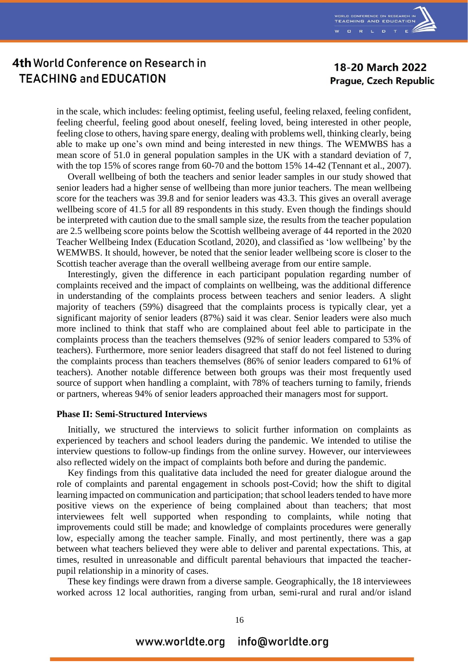

### 18-20 March 2022 **Prague, Czech Republic**

in the scale, which includes: feeling optimist, feeling useful, feeling relaxed, feeling confident, feeling cheerful, feeling good about oneself, feeling loved, being interested in other people, feeling close to others, having spare energy, dealing with problems well, thinking clearly, being able to make up one's own mind and being interested in new things. The WEMWBS has a mean score of 51.0 in general population samples in the UK with a standard deviation of 7, with the top 15% of scores range from 60-70 and the bottom 15% 14-42 (Tennant et al., 2007).

Overall wellbeing of both the teachers and senior leader samples in our study showed that senior leaders had a higher sense of wellbeing than more junior teachers. The mean wellbeing score for the teachers was 39.8 and for senior leaders was 43.3. This gives an overall average wellbeing score of 41.5 for all 89 respondents in this study. Even though the findings should be interpreted with caution due to the small sample size, the results from the teacher population are 2.5 wellbeing score points below the Scottish wellbeing average of 44 reported in the 2020 Teacher Wellbeing Index (Education Scotland, 2020), and classified as 'low wellbeing' by the WEMWBS. It should, however, be noted that the senior leader wellbeing score is closer to the Scottish teacher average than the overall wellbeing average from our entire sample.

Interestingly, given the difference in each participant population regarding number of complaints received and the impact of complaints on wellbeing, was the additional difference in understanding of the complaints process between teachers and senior leaders. A slight majority of teachers (59%) disagreed that the complaints process is typically clear, yet a significant majority of senior leaders (87%) said it was clear. Senior leaders were also much more inclined to think that staff who are complained about feel able to participate in the complaints process than the teachers themselves (92% of senior leaders compared to 53% of teachers). Furthermore, more senior leaders disagreed that staff do not feel listened to during the complaints process than teachers themselves (86% of senior leaders compared to 61% of teachers). Another notable difference between both groups was their most frequently used source of support when handling a complaint, with 78% of teachers turning to family, friends or partners, whereas 94% of senior leaders approached their managers most for support.

#### **Phase II: Semi-Structured Interviews**

Initially, we structured the interviews to solicit further information on complaints as experienced by teachers and school leaders during the pandemic. We intended to utilise the interview questions to follow-up findings from the online survey. However, our interviewees also reflected widely on the impact of complaints both before and during the pandemic.

Key findings from this qualitative data included the need for greater dialogue around the role of complaints and parental engagement in schools post-Covid; how the shift to digital learning impacted on communication and participation; that school leaders tended to have more positive views on the experience of being complained about than teachers; that most interviewees felt well supported when responding to complaints, while noting that improvements could still be made; and knowledge of complaints procedures were generally low, especially among the teacher sample. Finally, and most pertinently, there was a gap between what teachers believed they were able to deliver and parental expectations. This, at times, resulted in unreasonable and difficult parental behaviours that impacted the teacherpupil relationship in a minority of cases.

These key findings were drawn from a diverse sample. Geographically, the 18 interviewees worked across 12 local authorities, ranging from urban, semi-rural and rural and/or island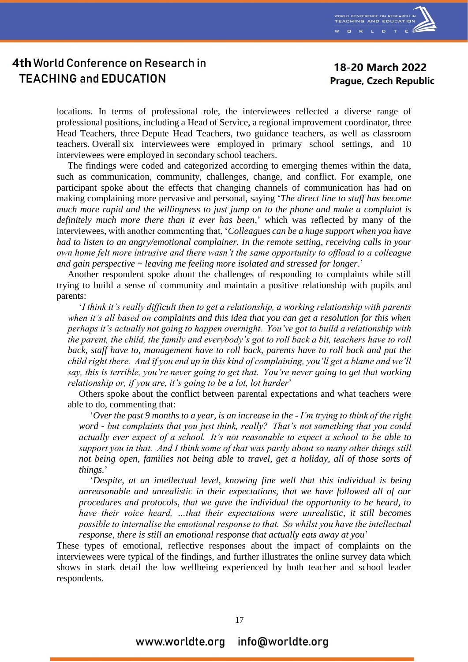

### 18-20 March 2022 **Prague, Czech Republic**

locations. In terms of professional role, the interviewees reflected a diverse range of professional positions, including a Head of Service, a regional improvement coordinator, three Head Teachers, three Depute Head Teachers, two guidance teachers, as well as classroom teachers. Overall six interviewees were employed in primary school settings, and 10 interviewees were employed in secondary school teachers.

The findings were coded and categorized according to emerging themes within the data, such as communication, community, challenges, change, and conflict. For example, one participant spoke about the effects that changing channels of communication has had on making complaining more pervasive and personal, saying '*The direct line to staff has become much more rapid and the willingness to just jump on to the phone and make a complaint is definitely much more there than it ever has been,*' which was reflected by many of the interviewees, with another commenting that, '*Colleagues can be a huge support when you have had to listen to an angry/emotional complainer. In the remote setting, receiving calls in your own home felt more intrusive and there wasn't the same opportunity to offload to a colleague and gain perspective ~ leaving me feeling more isolated and stressed for longer*.'

Another respondent spoke about the challenges of responding to complaints while still trying to build a sense of community and maintain a positive relationship with pupils and parents:

'*I think it's really difficult then to get a relationship, a working relationship with parents when it's all based on complaints and this idea that you can get a resolution for this when perhaps it's actually not going to happen overnight.  You've got to build a relationship with the parent, the child, the family and everybody's got to roll back a bit, teachers have to roll back, staff have to, management have to roll back, parents have to roll back and put the child right there.  And if you end up in this kind of complaining, you'll get a blame and we'll say, this is terrible, you're never going to get that.  You're never going to get that working relationship or, if you are, it's going to be a lot, lot harder*'

Others spoke about the conflict between parental expectations and what teachers were able to do, commenting that:

'*Over the past 9 months to a year, is an increase in the - I'm trying to think of the right word - but complaints that you just think, really?  That's not something that you could actually ever expect of a school.  It's not reasonable to expect a school to be able to support you in that.  And I think some of that was partly about so many other things still not being open, families not being able to travel, get a holiday, all of those sorts of things.*'

'*Despite, at an intellectual level, knowing fine well that this individual is being unreasonable and unrealistic in their expectations, that we have followed all of our procedures and protocols, that we gave the individual the opportunity to be heard, to have their voice heard, ...that their expectations were unrealistic, it still becomes possible to internalise the emotional response to that.  So whilst you have the intellectual response, there is still an emotional response that actually eats away at you*'

These types of emotional, reflective responses about the impact of complaints on the interviewees were typical of the findings, and further illustrates the online survey data which shows in stark detail the low wellbeing experienced by both teacher and school leader respondents.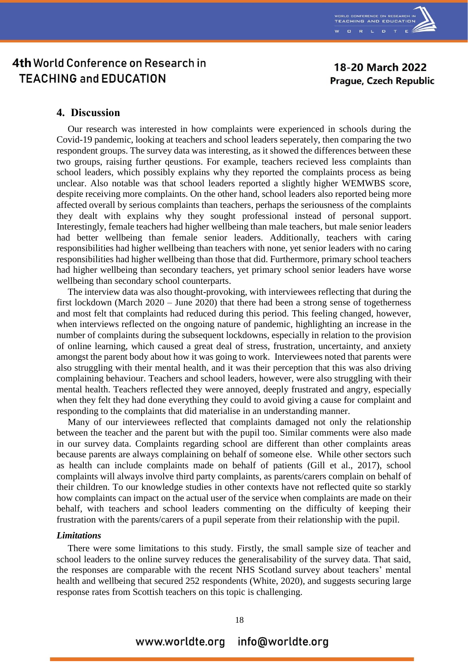

18-20 March 2022 **Prague, Czech Republic** 

## 4th World Conference on Research in **TEACHING and EDUCATION**

### **4. Discussion**

Our research was interested in how complaints were experienced in schools during the Covid-19 pandemic, looking at teachers and school leaders seperately, then comparing the two respondent groups. The survey data was interesting, as it showed the differences between these two groups, raising further qeustions. For example, teachers recieved less complaints than school leaders, which possibly explains why they reported the complaints process as being unclear. Also notable was that school leaders reported a slightly higher WEMWBS score, despite receiving more complaints. On the other hand, school leaders also reported being more affected overall by serious complaints than teachers, perhaps the seriousness of the complaints they dealt with explains why they sought professional instead of personal support. Interestingly, female teachers had higher wellbeing than male teachers, but male senior leaders had better wellbeing than female senior leaders. Additionally, teachers with caring responsibilities had higher wellbeing than teachers with none, yet senior leaders with no caring responsibilities had higher wellbeing than those that did. Furthermore, primary school teachers had higher wellbeing than secondary teachers, yet primary school senior leaders have worse wellbeing than secondary school counterparts.

The interview data was also thought-provoking, with interviewees reflecting that during the first lockdown (March 2020 – June 2020) that there had been a strong sense of togetherness and most felt that complaints had reduced during this period. This feeling changed, however, when interviews reflected on the ongoing nature of pandemic, highlighting an increase in the number of complaints during the subsequent lockdowns, especially in relation to the provision of online learning, which caused a great deal of stress, frustration, uncertainty, and anxiety amongst the parent body about how it was going to work. Interviewees noted that parents were also struggling with their mental health, and it was their perception that this was also driving complaining behaviour. Teachers and school leaders, however, were also struggling with their mental health. Teachers reflected they were annoyed, deeply frustrated and angry, especially when they felt they had done everything they could to avoid giving a cause for complaint and responding to the complaints that did materialise in an understanding manner.

Many of our interviewees reflected that complaints damaged not only the relationship between the teacher and the parent but with the pupil too. Similar comments were also made in our survey data. Complaints regarding school are different than other complaints areas because parents are always complaining on behalf of someone else. While other sectors such as health can include complaints made on behalf of patients (Gill et al., 2017), school complaints will always involve third party complaints, as parents/carers complain on behalf of their children. To our knowledge studies in other contexts have not reflected quite so starkly how complaints can impact on the actual user of the service when complaints are made on their behalf, with teachers and school leaders commenting on the difficulty of keeping their frustration with the parents/carers of a pupil seperate from their relationship with the pupil.

#### *Limitations*

There were some limitations to this study. Firstly, the small sample size of teacher and school leaders to the online survey reduces the generalisability of the survey data. That said, the responses are comparable with the recent NHS Scotland survey about teachers' mental health and wellbeing that secured 252 respondents (White, 2020), and suggests securing large response rates from Scottish teachers on this topic is challenging.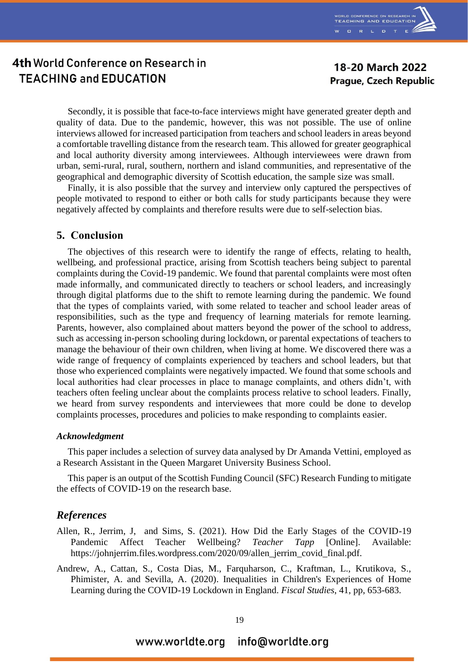

18-20 March 2022 **Prague, Czech Republic** 

Secondly, it is possible that face-to-face interviews might have generated greater depth and quality of data. Due to the pandemic, however, this was not possible. The use of online interviews allowed for increased participation from teachers and school leaders in areas beyond a comfortable travelling distance from the research team. This allowed for greater geographical and local authority diversity among interviewees. Although interviewees were drawn from urban, semi-rural, rural, southern, northern and island communities, and representative of the geographical and demographic diversity of Scottish education, the sample size was small.

Finally, it is also possible that the survey and interview only captured the perspectives of people motivated to respond to either or both calls for study participants because they were negatively affected by complaints and therefore results were due to self-selection bias.

#### **5. Conclusion**

The objectives of this research were to identify the range of effects, relating to health, wellbeing, and professional practice, arising from Scottish teachers being subject to parental complaints during the Covid-19 pandemic. We found that parental complaints were most often made informally, and communicated directly to teachers or school leaders, and increasingly through digital platforms due to the shift to remote learning during the pandemic. We found that the types of complaints varied, with some related to teacher and school leader areas of responsibilities, such as the type and frequency of learning materials for remote learning. Parents, however, also complained about matters beyond the power of the school to address, such as accessing in-person schooling during lockdown, or parental expectations of teachers to manage the behaviour of their own children, when living at home. We discovered there was a wide range of frequency of complaints experienced by teachers and school leaders, but that those who experienced complaints were negatively impacted. We found that some schools and local authorities had clear processes in place to manage complaints, and others didn't, with teachers often feeling unclear about the complaints process relative to school leaders. Finally, we heard from survey respondents and interviewees that more could be done to develop complaints processes, procedures and policies to make responding to complaints easier.

#### *Acknowledgment*

This paper includes a selection of survey data analysed by Dr Amanda Vettini, employed as a Research Assistant in the Queen Margaret University Business School.

This paper is an output of the Scottish Funding Council (SFC) Research Funding to mitigate the effects of COVID-19 on the research base.

### *References*

- Allen, R., Jerrim, J, and Sims, S. (2021). How Did the Early Stages of the COVID-19 Pandemic Affect Teacher Wellbeing? *Teacher Tapp* [Online]. Available: https://johnjerrim.files.wordpress.com/2020/09/allen\_jerrim\_covid\_final.pdf.
- Andrew, A., Cattan, S., Costa Dias, M., Farquharson, C., Kraftman, L., Krutikova, S., Phimister, A. and Sevilla, A. (2020). Inequalities in Children's Experiences of Home Learning during the COVID-19 Lockdown in England. *Fiscal Studies*, 41, pp, 653-683.

#### www.worldte.org info@worldte.org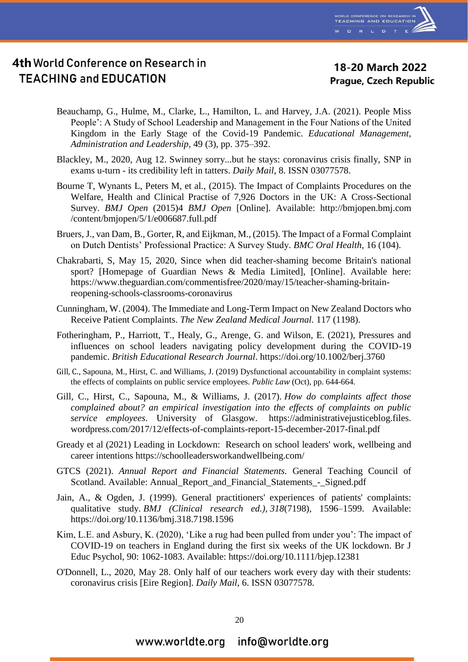

18-20 March 2022 **Prague, Czech Republic** 

- Beauchamp, G., Hulme, M., Clarke, L., Hamilton, L. and Harvey, J.A. (2021). People Miss People': A Study of School Leadership and Management in the Four Nations of the United Kingdom in the Early Stage of the Covid-19 Pandemic. *Educational Management, Administration and Leadership,* 49 (3), pp. 375–392.
- Blackley, M., 2020, Aug 12. Swinney sorry...but he stays: coronavirus crisis finally, SNP in exams u-turn - its credibility left in tatters. *Daily Mail*, 8. ISSN 03077578.
- Bourne T, Wynants L, Peters M, et al., (2015). The Impact of Complaints Procedures on the Welfare, Health and Clinical Practise of 7,926 Doctors in the UK: A Cross-Sectional Survey. *BMJ Open* (2015)4 *BMJ Open* [Online]. Available: http://bmjopen.bmj.com /content/bmjopen/5/1/e006687.full.pdf
- Bruers, J., van Dam, B., Gorter, R, and Eijkman, M., (2015). The Impact of a Formal Complaint on Dutch Dentists' Professional Practice: A Survey Study. *BMC Oral Health,* 16 (104).
- Chakrabarti, S, May 15, 2020, Since when did teacher-shaming become Britain's national sport? [Homepage of Guardian News & Media Limited], [Online]. Available here: https://www.theguardian.com/commentisfree/2020/may/15/teacher-shaming-britainreopening-schools-classrooms-coronavirus
- Cunningham, W. (2004). The Immediate and Long-Term Impact on New Zealand Doctors who Receive Patient Complaints. *The New Zealand Medical Journal.* 117 (1198).
- Fotheringham, P., Harriott, T., Healy, G., Arenge, G. and Wilson, E. (2021), Pressures and influences on school leaders navigating policy development during the COVID-19 pandemic. *British Educational Research Journal*. https://doi.org/10.1002/berj.3760
- [Gill,](http://eprints.gla.ac.uk/view/author/39610.html) C., Sapouna, M., Hirst, C. and Williams, J. (2019) Dysfunctional accountability in complaint systems: the effects of complaints on public service employees. *[Public](http://eprints.gla.ac.uk/view/journal_volume/Public_Law.html) Law* (Oct), pp. 644-664.
- Gill, C., Hirst, C., Sapouna, M., & Williams, J. (2017). *How do complaints affect those complained about? an empirical investigation into the effects of complaints on public service employees*. University of Glasgow. https://administrativejusticeblog.files. wordpress.com/2017/12/effects-of-complaints-report-15-december-2017-final.pdf
- Gready et al (2021) Leading in Lockdown: Research on school leaders' work, wellbeing and career intentions https://schoolleadersworkandwellbeing.com/
- GTCS (2021). *Annual Report and Financial Statements.* General Teaching Council of Scotland. Available: Annual\_Report\_and\_Financial\_Statements\_-\_Signed.pdf
- Jain, A., & Ogden, J. (1999). General practitioners' experiences of patients' complaints: qualitative study. *BMJ (Clinical research ed.)*, *318*(7198), 1596–1599. Available: https://doi.org/10.1136/bmj.318.7198.1596
- Kim, L.E. and Asbury, K. (2020), 'Like a rug had been pulled from under you': The impact of COVID-19 on teachers in England during the first six weeks of the UK lockdown. Br J Educ Psychol, 90: 1062-1083. Available: https://doi.org/10.1111/bjep.12381
- O'Donnell, L., 2020, May 28. Only half of our teachers work every day with their students: coronavirus crisis [Eire Region]*. Daily Mail*, 6. ISSN 03077578.